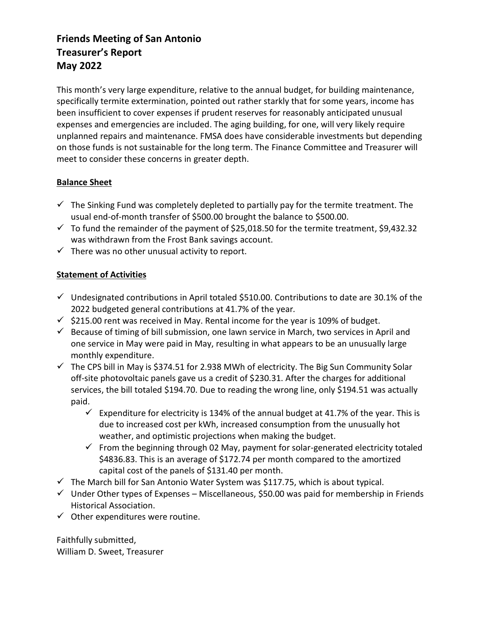### **Friends Meeting of San Antonio Treasurer's Report May 2022**

This month's very large expenditure, relative to the annual budget, for building maintenance, specifically termite extermination, pointed out rather starkly that for some years, income has been insufficient to cover expenses if prudent reserves for reasonably anticipated unusual expenses and emergencies are included. The aging building, for one, will very likely require unplanned repairs and maintenance. FMSA does have considerable investments but depending on those funds is not sustainable for the long term. The Finance Committee and Treasurer will meet to consider these concerns in greater depth.

#### **Balance Sheet**

- $\checkmark$  The Sinking Fund was completely depleted to partially pay for the termite treatment. The usual end-of-month transfer of \$500.00 brought the balance to \$500.00.
- $\checkmark$  To fund the remainder of the payment of \$25,018.50 for the termite treatment, \$9,432.32 was withdrawn from the Frost Bank savings account.
- $\checkmark$  There was no other unusual activity to report.

### **Statement of Activities**

- $\checkmark$  Undesignated contributions in April totaled \$510.00. Contributions to date are 30.1% of the 2022 budgeted general contributions at 41.7% of the year*.*
- $\checkmark$  \$215.00 rent was received in May. Rental income for the year is 109% of budget.
- $\checkmark$  Because of timing of bill submission, one lawn service in March, two services in April and one service in May were paid in May, resulting in what appears to be an unusually large monthly expenditure.
- $\checkmark$  The CPS bill in May is \$374.51 for 2.938 MWh of electricity. The Big Sun Community Solar off-site photovoltaic panels gave us a credit of \$230.31. After the charges for additional services, the bill totaled \$194.70. Due to reading the wrong line, only \$194.51 was actually paid.
	- $\checkmark$  Expenditure for electricity is 134% of the annual budget at 41.7% of the year. This is due to increased cost per kWh, increased consumption from the unusually hot weather, and optimistic projections when making the budget.
	- $\checkmark$  From the beginning through 02 May, payment for solar-generated electricity totaled \$4836.83. This is an average of \$172.74 per month compared to the amortized capital cost of the panels of \$131.40 per month.
- $\checkmark$  The March bill for San Antonio Water System was \$117.75, which is about typical.
- $\checkmark$  Under Other types of Expenses Miscellaneous, \$50.00 was paid for membership in Friends Historical Association.
- $\checkmark$  Other expenditures were routine.

Faithfully submitted, William D. Sweet, Treasurer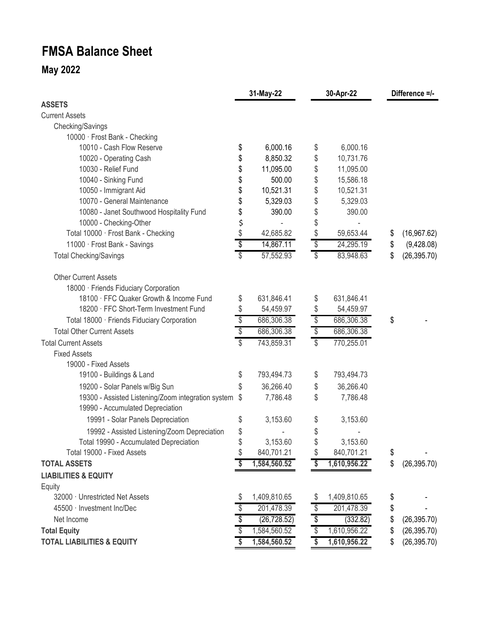# **FMSA Balance Sheet**

## **May 2022**

| <b>ASSETS</b>                                                                          |                         | 31-May-22    |                        | 30-Apr-22    |    | Difference =/- |  |
|----------------------------------------------------------------------------------------|-------------------------|--------------|------------------------|--------------|----|----------------|--|
|                                                                                        |                         |              |                        |              |    |                |  |
| <b>Current Assets</b>                                                                  |                         |              |                        |              |    |                |  |
| Checking/Savings                                                                       |                         |              |                        |              |    |                |  |
| 10000 · Frost Bank - Checking                                                          |                         |              |                        |              |    |                |  |
| 10010 - Cash Flow Reserve                                                              | \$                      | 6,000.16     | \$                     | 6,000.16     |    |                |  |
| 10020 - Operating Cash                                                                 | \$                      | 8,850.32     | \$                     | 10,731.76    |    |                |  |
| 10030 - Relief Fund                                                                    | \$                      | 11,095.00    | \$                     | 11,095.00    |    |                |  |
| 10040 - Sinking Fund                                                                   |                         | 500.00       | \$                     | 15,586.18    |    |                |  |
| 10050 - Immigrant Aid                                                                  | \$                      | 10,521.31    | \$                     | 10,521.31    |    |                |  |
| 10070 - General Maintenance                                                            | \$                      | 5,329.03     | \$                     | 5,329.03     |    |                |  |
| 10080 - Janet Southwood Hospitality Fund                                               | \$                      | 390.00       | \$                     | 390.00       |    |                |  |
| 10000 - Checking-Other                                                                 | \$                      |              | \$                     |              |    |                |  |
| Total 10000 · Frost Bank - Checking                                                    | \$                      | 42,685.82    | \$                     | 59,653.44    | \$ | (16, 967.62)   |  |
| 11000 · Frost Bank - Savings                                                           | \$                      | 14,867.11    | \$                     | 24,295.19    | \$ | (9,428.08)     |  |
| <b>Total Checking/Savings</b>                                                          | S                       | 57,552.93    | \$                     | 83,948.63    | \$ | (26, 395.70)   |  |
| <b>Other Current Assets</b>                                                            |                         |              |                        |              |    |                |  |
| 18000 · Friends Fiduciary Corporation                                                  |                         |              |                        |              |    |                |  |
| 18100 · FFC Quaker Growth & Income Fund                                                | \$                      | 631,846.41   | \$                     | 631,846.41   |    |                |  |
| 18200 · FFC Short-Term Investment Fund                                                 | \$                      | 54,459.97    | \$                     | 54,459.97    |    |                |  |
| Total 18000 · Friends Fiduciary Corporation                                            | $\sqrt[6]{\frac{1}{2}}$ | 686,306.38   | \$                     | 686,306.38   | \$ |                |  |
| <b>Total Other Current Assets</b>                                                      | \$                      | 686,306.38   | \$                     | 686,306.38   |    |                |  |
| <b>Total Current Assets</b>                                                            | \$                      | 743,859.31   | $\mathcal{S}$          | 770,255.01   |    |                |  |
| <b>Fixed Assets</b>                                                                    |                         |              |                        |              |    |                |  |
| 19000 - Fixed Assets                                                                   |                         |              |                        |              |    |                |  |
| 19100 - Buildings & Land                                                               | \$                      | 793,494.73   | \$                     | 793,494.73   |    |                |  |
| 19200 - Solar Panels w/Big Sun                                                         | \$                      | 36,266.40    | \$                     | 36,266.40    |    |                |  |
| 19300 - Assisted Listening/Zoom integration system<br>19990 - Accumulated Depreciation | \$                      | 7,786.48     | \$                     | 7,786.48     |    |                |  |
| 19991 - Solar Panels Depreciation                                                      | \$                      | 3,153.60     | \$                     | 3,153.60     |    |                |  |
| 19992 - Assisted Listening/Zoom Depreciation                                           | \$                      |              | \$                     |              |    |                |  |
| Total 19990 - Accumulated Depreciation                                                 | \$                      | 3,153.60     | Φ                      | 3,153.60     |    |                |  |
| Total 19000 - Fixed Assets                                                             | \$                      | 840,701.21   | S                      | 840,701.21   | \$ |                |  |
| <b>TOTAL ASSETS</b>                                                                    | S                       | 1,584,560.52 | \$                     | 1,610,956.22 | \$ | (26, 395.70)   |  |
| <b>LIABILITIES &amp; EQUITY</b>                                                        |                         |              |                        |              |    |                |  |
| Equity                                                                                 |                         |              |                        |              |    |                |  |
| 32000 · Unrestricted Net Assets                                                        | \$                      | 1,409,810.65 |                        | 1,409,810.65 | \$ |                |  |
| 45500 · Investment Inc/Dec                                                             | \$                      | 201,478.39   | \$                     | 201,478.39   | \$ |                |  |
| Net Income                                                                             | \$                      | (26, 728.52) | \$                     | (332.82)     | \$ | (26, 395.70)   |  |
| <b>Total Equity</b>                                                                    | \$                      | 1,584,560.52 | \$                     | 1,610,956.22 | \$ | (26, 395.70)   |  |
| <b>TOTAL LIABILITIES &amp; EQUITY</b>                                                  | $\boldsymbol{s}$        | 1,584,560.52 | $\boldsymbol{\hat{s}}$ | 1,610,956.22 | \$ | (26, 395.70)   |  |
|                                                                                        |                         |              |                        |              |    |                |  |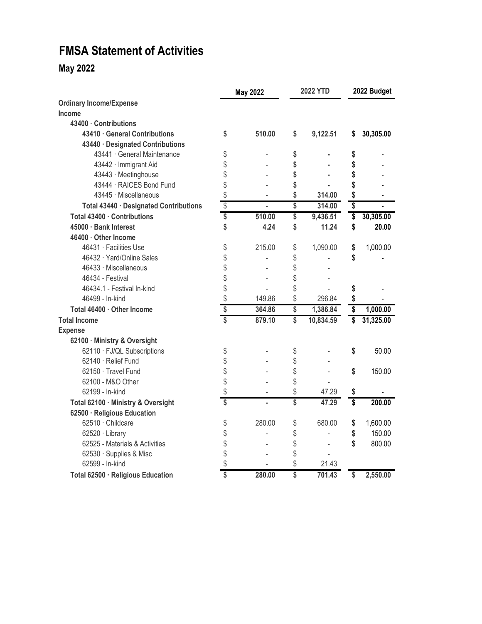# **FMSA Statement of Activities**

### **May 2022**

|                                        | <b>May 2022</b> |                | <b>2022 YTD</b> |           | 2022 Budget |           |
|----------------------------------------|-----------------|----------------|-----------------|-----------|-------------|-----------|
| <b>Ordinary Income/Expense</b>         |                 |                |                 |           |             |           |
| Income                                 |                 |                |                 |           |             |           |
| 43400 · Contributions                  |                 |                |                 |           |             |           |
| 43410 · General Contributions          | \$              | 510.00         | \$              | 9,122.51  | S.          | 30,305.00 |
| 43440 · Designated Contributions       |                 |                |                 |           |             |           |
| 43441 · General Maintenance            | \$              |                | \$              |           | \$          |           |
| 43442 · Immigrant Aid                  | \$              |                | \$              |           | \$          |           |
| 43443 · Meetinghouse                   | \$              |                | \$              |           | \$          |           |
| 43444 · RAICES Bond Fund               | \$              |                | \$              |           | \$          |           |
| 43445 · Miscellaneous                  | \$              |                | \$              | 314.00    | \$          |           |
| Total 43440 · Designated Contributions | \$              | $\overline{a}$ | \$              | 314.00    | \$          |           |
| Total 43400 · Contributions            | \$              | 510.00         | \$              | 9,436.51  | \$          | 30,305.00 |
| 45000 · Bank Interest                  | \$              | 4.24           | \$              | 11.24     | \$          | 20.00     |
| 46400 · Other Income                   |                 |                |                 |           |             |           |
| 46431 · Facilities Use                 | \$              | 215.00         | \$              | 1,090.00  | \$          | 1,000.00  |
| 46432 · Yard/Online Sales              | \$              |                | \$              |           | \$          |           |
| 46433 · Miscellaneous                  | \$              |                | \$              |           |             |           |
| 46434 - Festival                       | \$              |                | \$              |           |             |           |
| 46434.1 - Festival In-kind             | \$              |                | \$              |           | \$          |           |
| 46499 - In-kind                        | \$              | 149.86         | \$              | 296.84    | \$          |           |
| Total 46400 · Other Income             | \$              | 364.86         | \$              | 1,386.84  | \$          | 1,000.00  |
| <b>Total Income</b>                    | Ŝ               | 879.10         | \$              | 10,834.59 | \$          | 31,325.00 |
| <b>Expense</b>                         |                 |                |                 |           |             |           |
| 62100 · Ministry & Oversight           |                 |                |                 |           |             |           |
| 62110 · FJ/QL Subscriptions            | \$              |                | \$              |           | \$          | 50.00     |
| 62140 · Relief Fund                    | \$              |                | \$              |           |             |           |
| 62150 · Travel Fund                    | \$              |                | \$              |           | \$          | 150.00    |
| 62100 - M&O Other                      | \$              |                | \$              |           |             |           |
| 62199 - In-kind                        | \$              |                | \$              | 47.29     | \$          |           |
| Total 62100 · Ministry & Oversight     | \$              |                | \$              | 47.29     | \$          | 200.00    |
| 62500 · Religious Education            |                 |                |                 |           |             |           |
| 62510 · Childcare                      | \$              | 280.00         | \$              | 680.00    | \$          | 1,600.00  |
| 62520 · Library                        | \$              |                | \$              |           | \$          | 150.00    |
| 62525 - Materials & Activities         | \$              |                | \$              |           | \$          | 800.00    |
| 62530 · Supplies & Misc                | \$              |                | \$              |           |             |           |
| 62599 - In-kind                        | \$              |                | \$              | 21.43     |             |           |
| Total 62500 · Religious Education      | \$              | 280,00         | \$              | 701.43    | \$          | 2,550.00  |